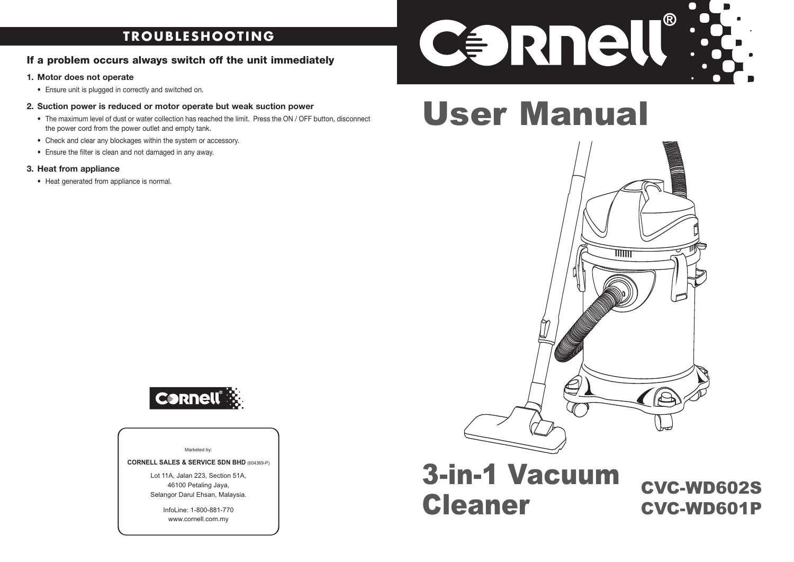## **TROUBLESHOOTING**

## **If a problem occurs always switch off the unit immediately**

#### **1. Motor does not operate**

- Ensure unit is plugged in correctly and switched on.
- **2. Suction power is reduced or motor operate but weak suction power**
	- The maximum level of dust or water collection has reached the limit. Press the ON / OFF button, disconnect the power cord from the power outlet and empty tank.
	- Check and clear any blockages within the system or accessory.
	- Ensure the filter is clean and not damaged in any away.

### **3. Heat from appliance**

• Heat generated from appliance is normal.



# User Manual



## 3-in-1 Vacuum Cleaner

CVC-WD602S CVC-WD601P



#### Marketed by:

**CORNELL SALES & SERVICE SDN BHD** (604369-P)

Lot 11A, Jalan 223, Section 51A, 46100 Petaling Jaya, Selangor Darul Ehsan, Malaysia.

> InfoLine: 1-800-881-770 www.cornell.com.my